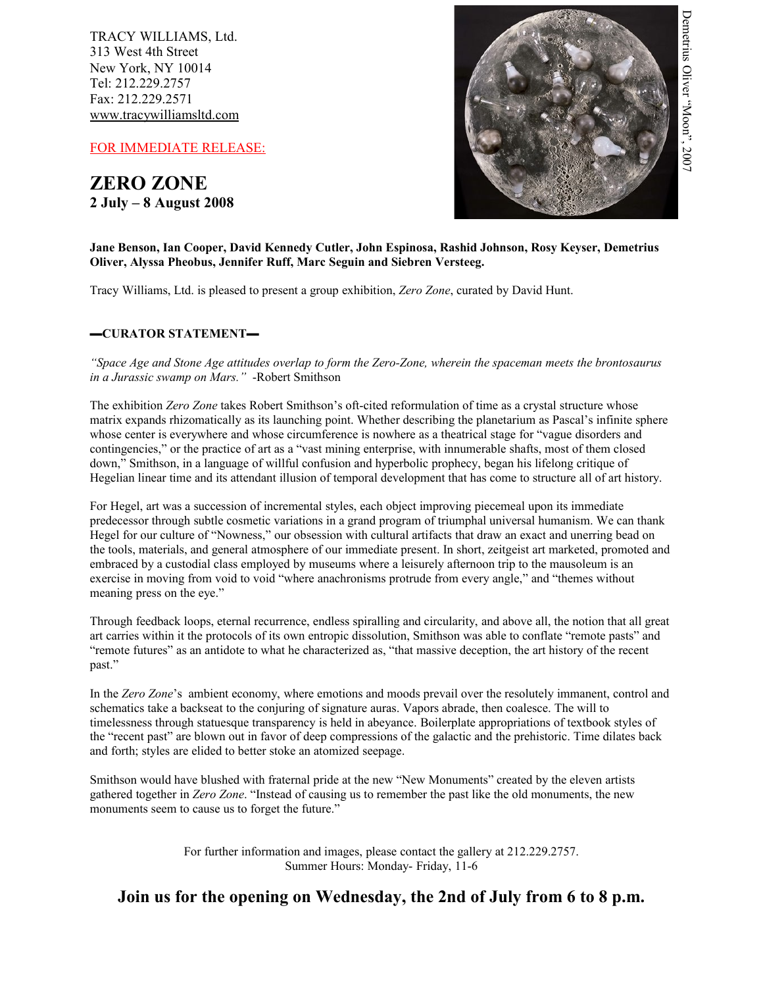TRACY WILLIAMS, Ltd. 313 West 4th Street New York, NY 10014 Tel: 212.229.2757 Fax: 212.229.2571 www.tracywilliamsltd.com

FOR IMMEDIATE RELEASE:

**ZERO ZONE 2 July – 8 August 2008**



# **Jane Benson, Ian Cooper, David Kennedy Cutler, John Espinosa, Rashid Johnson, Rosy Keyser, Demetrius Oliver, Alyssa Pheobus, Jennifer Ruff, Marc Seguin and Siebren Versteeg.**

Tracy Williams, Ltd. is pleased to present a group exhibition, *Zero Zone*, curated by David Hunt.

# **▬CURATOR STATEMENT▬**

*"Space Age and Stone Age attitudes overlap to form the Zero-Zone, wherein the spaceman meets the brontosaurus in a Jurassic swamp on Mars."* -Robert Smithson

The exhibition *Zero Zone* takes Robert Smithson's oft-cited reformulation of time as a crystal structure whose matrix expands rhizomatically as its launching point. Whether describing the planetarium as Pascal's infinite sphere whose center is everywhere and whose circumference is nowhere as a theatrical stage for "vague disorders and contingencies," or the practice of art as a "vast mining enterprise, with innumerable shafts, most of them closed down," Smithson, in a language of willful confusion and hyperbolic prophecy, began his lifelong critique of Hegelian linear time and its attendant illusion of temporal development that has come to structure all of art history.

For Hegel, art was a succession of incremental styles, each object improving piecemeal upon its immediate predecessor through subtle cosmetic variations in a grand program of triumphal universal humanism. We can thank Hegel for our culture of "Nowness," our obsession with cultural artifacts that draw an exact and unerring bead on the tools, materials, and general atmosphere of our immediate present. In short, zeitgeist art marketed, promoted and embraced by a custodial class employed by museums where a leisurely afternoon trip to the mausoleum is an exercise in moving from void to void "where anachronisms protrude from every angle," and "themes without meaning press on the eye."

Through feedback loops, eternal recurrence, endless spiralling and circularity, and above all, the notion that all great art carries within it the protocols of its own entropic dissolution, Smithson was able to conflate "remote pasts" and "remote futures" as an antidote to what he characterized as, "that massive deception, the art history of the recent past."

In the *Zero Zone*'s ambient economy, where emotions and moods prevail over the resolutely immanent, control and schematics take a backseat to the conjuring of signature auras. Vapors abrade, then coalesce. The will to timelessness through statuesque transparency is held in abeyance. Boilerplate appropriations of textbook styles of the "recent past" are blown out in favor of deep compressions of the galactic and the prehistoric. Time dilates back and forth; styles are elided to better stoke an atomized seepage.

Smithson would have blushed with fraternal pride at the new "New Monuments" created by the eleven artists gathered together in *Zero Zone*. "Instead of causing us to remember the past like the old monuments, the new monuments seem to cause us to forget the future."

> For further information and images, please contact the gallery at 212.229.2757. Summer Hours: Monday- Friday, 11-6

**Join us for the opening on Wednesday, the 2nd of July from 6 to 8 p.m.**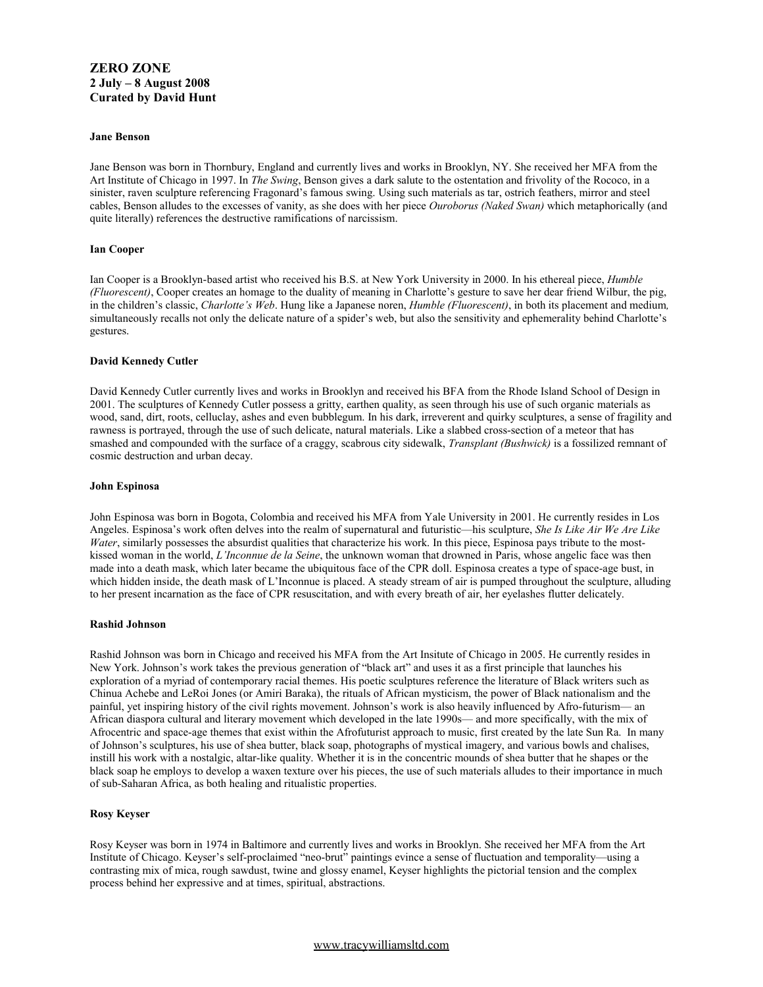# **ZERO ZONE 2 July – 8 August 2008 Curated by David Hunt**

#### **Jane Benson**

Jane Benson was born in Thornbury, England and currently lives and works in Brooklyn, NY. She received her MFA from the Art Institute of Chicago in 1997. In *The Swing*, Benson gives a dark salute to the ostentation and frivolity of the Rococo, in a sinister, raven sculpture referencing Fragonard's famous swing. Using such materials as tar, ostrich feathers, mirror and steel cables, Benson alludes to the excesses of vanity, as she does with her piece *Ouroborus (Naked Swan)* which metaphorically (and quite literally) references the destructive ramifications of narcissism.

# **Ian Cooper**

Ian Cooper is a Brooklyn-based artist who received his B.S. at New York University in 2000. In his ethereal piece, *Humble (Fluorescent)*, Cooper creates an homage to the duality of meaning in Charlotte's gesture to save her dear friend Wilbur, the pig, in the children's classic, *Charlotte's Web*. Hung like a Japanese noren, *Humble (Fluorescent)*, in both its placement and medium*,* simultaneously recalls not only the delicate nature of a spider's web, but also the sensitivity and ephemerality behind Charlotte's gestures.

### **David Kennedy Cutler**

David Kennedy Cutler currently lives and works in Brooklyn and received his BFA from the Rhode Island School of Design in 2001. The sculptures of Kennedy Cutler possess a gritty, earthen quality, as seen through his use of such organic materials as wood, sand, dirt, roots, celluclay, ashes and even bubblegum. In his dark, irreverent and quirky sculptures, a sense of fragility and rawness is portrayed, through the use of such delicate, natural materials. Like a slabbed cross-section of a meteor that has smashed and compounded with the surface of a craggy, scabrous city sidewalk, *Transplant (Bushwick)* is a fossilized remnant of cosmic destruction and urban decay.

#### **John Espinosa**

John Espinosa was born in Bogota, Colombia and received his MFA from Yale University in 2001. He currently resides in Los Angeles. Espinosa's work often delves into the realm of supernatural and futuristic—his sculpture, *She Is Like Air We Are Like Water*, similarly possesses the absurdist qualities that characterize his work. In this piece, Espinosa pays tribute to the mostkissed woman in the world, *L'Inconnue de la Seine*, the unknown woman that drowned in Paris, whose angelic face was then made into a death mask, which later became the ubiquitous face of the CPR doll. Espinosa creates a type of space-age bust, in which hidden inside, the death mask of L'Inconnue is placed. A steady stream of air is pumped throughout the sculpture, alluding to her present incarnation as the face of CPR resuscitation, and with every breath of air, her eyelashes flutter delicately.

#### **Rashid Johnson**

Rashid Johnson was born in Chicago and received his MFA from the Art Insitute of Chicago in 2005. He currently resides in New York. Johnson's work takes the previous generation of "black art" and uses it as a first principle that launches his exploration of a myriad of contemporary racial themes. His poetic sculptures reference the literature of Black writers such as Chinua Achebe and LeRoi Jones (or Amiri Baraka), the rituals of African mysticism, the power of Black nationalism and the painful, yet inspiring history of the civil rights movement. Johnson's work is also heavily influenced by Afro-futurism— an African diaspora cultural and literary movement which developed in the late 1990s— and more specifically, with the mix of Afrocentric and space-age themes that exist within the Afrofuturist approach to music, first created by the late Sun Ra. In many of Johnson's sculptures, his use of shea butter, black soap, photographs of mystical imagery, and various bowls and chalises, instill his work with a nostalgic, altar-like quality. Whether it is in the concentric mounds of shea butter that he shapes or the black soap he employs to develop a waxen texture over his pieces, the use of such materials alludes to their importance in much of sub-Saharan Africa, as both healing and ritualistic properties.

# **Rosy Keyser**

Rosy Keyser was born in 1974 in Baltimore and currently lives and works in Brooklyn. She received her MFA from the Art Institute of Chicago. Keyser's self-proclaimed "neo-brut" paintings evince a sense of fluctuation and temporality—using a contrasting mix of mica, rough sawdust, twine and glossy enamel, Keyser highlights the pictorial tension and the complex process behind her expressive and at times, spiritual, abstractions.

# [www.tracy w](http://www.tracy/)illiamsltd.com